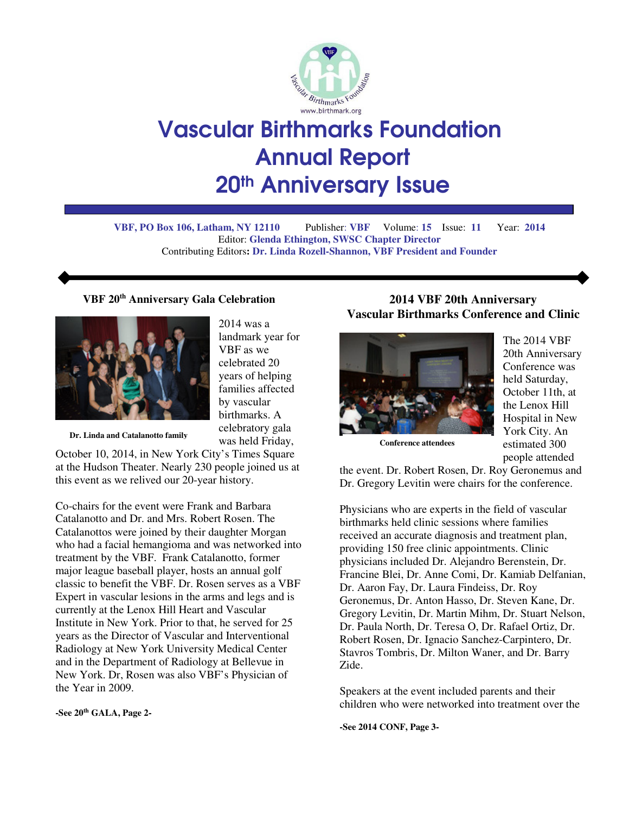

# Vascular Birthmarks Foundation Annual Report 20th Anniversary Issue

**VBF, PO Box 106, Latham, NY 12110** Publisher: **VBF** Volume: **15** Issue: **11** Year: **2014**  Editor: **Glenda Ethington, SWSC Chapter Director**  Contributing Editors**: Dr. Linda Rozell-Shannon, VBF President and Founder**

#### **VBF 20th Anniversary Gala Celebration**



2014 was a landmark year for VBF as we celebrated 20 years of helping families affected by vascular birthmarks. A celebratory gala was held Friday,

**Dr. Linda and Catalanotto family**

October 10, 2014, in New York City's Times Square at the Hudson Theater. Nearly 230 people joined us at this event as we relived our 20-year history.

Co-chairs for the event were Frank and Barbara Catalanotto and Dr. and Mrs. Robert Rosen. The Catalanottos were joined by their daughter Morgan who had a facial hemangioma and was networked into treatment by the VBF. Frank Catalanotto, former major league baseball player, hosts an annual golf classic to benefit the VBF. Dr. Rosen serves as a VBF Expert in vascular lesions in the arms and legs and is currently at the Lenox Hill Heart and Vascular Institute in New York. Prior to that, he served for 25 years as the Director of Vascular and Interventional Radiology at New York University Medical Center and in the Department of Radiology at Bellevue in New York. Dr, Rosen was also VBF's Physician of the Year in 2009.

**-See 20th GALA, Page 2-** 

## **2014 VBF 20th Anniversary Vascular Birthmarks Conference and Clinic**



The 2014 VBF 20th Anniversary Conference was held Saturday, October 11th, at the Lenox Hill Hospital in New York City. An estimated 300 people attended

**Conference attendees** 

the event. Dr. Robert Rosen, Dr. Roy Geronemus and Dr. Gregory Levitin were chairs for the conference.

Physicians who are experts in the field of vascular birthmarks held clinic sessions where families received an accurate diagnosis and treatment plan, providing 150 free clinic appointments. Clinic physicians included Dr. Alejandro Berenstein, Dr. Francine Blei, Dr. Anne Comi, Dr. Kamiab Delfanian, Dr. Aaron Fay, Dr. Laura Findeiss, Dr. Roy Geronemus, Dr. Anton Hasso, Dr. Steven Kane, Dr. Gregory Levitin, Dr. Martin Mihm, Dr. Stuart Nelson, Dr. Paula North, Dr. Teresa O, Dr. Rafael Ortiz, Dr. Robert Rosen, Dr. Ignacio Sanchez-Carpintero, Dr. Stavros Tombris, Dr. Milton Waner, and Dr. Barry Zide.

Speakers at the event included parents and their children who were networked into treatment over the

**-See 2014 CONF, Page 3-**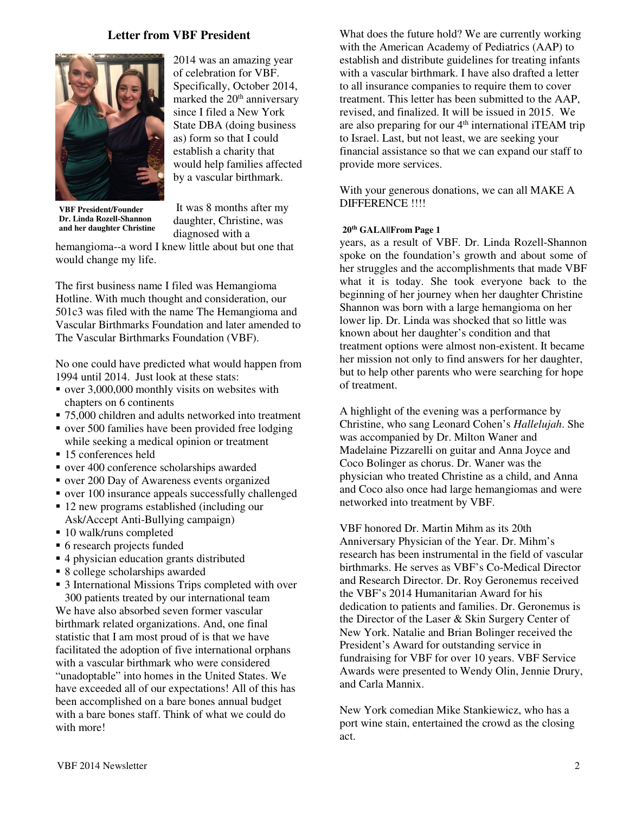#### **Letter from VBF President**



2014 was an amazing year of celebration for VBF. Specifically, October 2014, marked the 20<sup>th</sup> anniversary since I filed a New York State DBA (doing business as) form so that I could establish a charity that would help families affected by a vascular birthmark.

**VBF President/Founder Dr. Linda Rozell-Shannon and her daughter Christine** 

 It was 8 months after my daughter, Christine, was diagnosed with a

hemangioma--a word I knew little about but one that would change my life.

The first business name I filed was Hemangioma Hotline. With much thought and consideration, our 501c3 was filed with the name The Hemangioma and Vascular Birthmarks Foundation and later amended to The Vascular Birthmarks Foundation (VBF).

No one could have predicted what would happen from 1994 until 2014. Just look at these stats:

- over 3,000,000 monthly visits on websites with chapters on 6 continents
- 75,000 children and adults networked into treatment
- over 500 families have been provided free lodging while seeking a medical opinion or treatment
- 15 conferences held
- over 400 conference scholarships awarded
- over 200 Day of Awareness events organized
- over 100 insurance appeals successfully challenged
- 12 new programs established (including our Ask/Accept Anti-Bullying campaign)
- 10 walk/runs completed
- 6 research projects funded
- 4 physician education grants distributed
- 8 college scholarships awarded
- 3 International Missions Trips completed with over 300 patients treated by our international team

We have also absorbed seven former vascular birthmark related organizations. And, one final statistic that I am most proud of is that we have facilitated the adoption of five international orphans with a vascular birthmark who were considered "unadoptable" into homes in the United States. We have exceeded all of our expectations! All of this has been accomplished on a bare bones annual budget with a bare bones staff. Think of what we could do with more!

What does the future hold? We are currently working with the American Academy of Pediatrics (AAP) to establish and distribute guidelines for treating infants with a vascular birthmark. I have also drafted a letter to all insurance companies to require them to cover treatment. This letter has been submitted to the AAP, revised, and finalized. It will be issued in 2015. We are also preparing for our  $4<sup>th</sup>$  international iTEAM trip to Israel. Last, but not least, we are seeking your financial assistance so that we can expand our staff to provide more services.

With your generous donations, we can all MAKE A DIFFERENCE !!!!

#### **20th GALA||From Page 1**

years, as a result of VBF. Dr. Linda Rozell-Shannon spoke on the foundation's growth and about some of her struggles and the accomplishments that made VBF what it is today. She took everyone back to the beginning of her journey when her daughter Christine Shannon was born with a large hemangioma on her lower lip. Dr. Linda was shocked that so little was known about her daughter's condition and that treatment options were almost non-existent. It became her mission not only to find answers for her daughter, but to help other parents who were searching for hope of treatment.

A highlight of the evening was a performance by Christine, who sang Leonard Cohen's *Hallelujah*. She was accompanied by Dr. Milton Waner and Madelaine Pizzarelli on guitar and Anna Joyce and Coco Bolinger as chorus. Dr. Waner was the physician who treated Christine as a child, and Anna and Coco also once had large hemangiomas and were networked into treatment by VBF.

VBF honored Dr. Martin Mihm as its 20th Anniversary Physician of the Year. Dr. Mihm's research has been instrumental in the field of vascular birthmarks. He serves as VBF's Co-Medical Director and Research Director. Dr. Roy Geronemus received the VBF's 2014 Humanitarian Award for his dedication to patients and families. Dr. Geronemus is the Director of the Laser & Skin Surgery Center of New York. Natalie and Brian Bolinger received the President's Award for outstanding service in fundraising for VBF for over 10 years. VBF Service Awards were presented to Wendy Olin, Jennie Drury, and Carla Mannix.

New York comedian Mike Stankiewicz, who has a port wine stain, entertained the crowd as the closing act.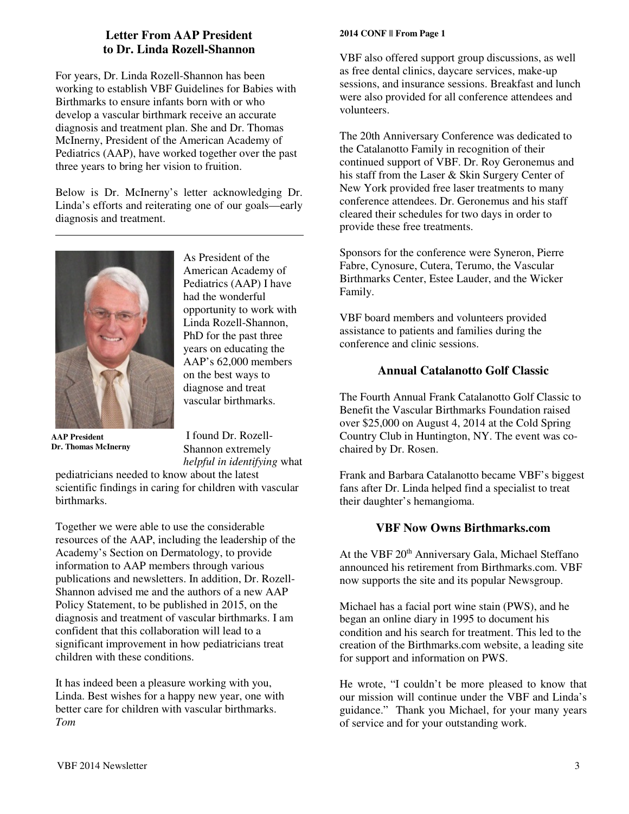## **Letter From AAP President to Dr. Linda Rozell-Shannon**

For years, Dr. Linda Rozell-Shannon has been working to establish VBF Guidelines for Babies with Birthmarks to ensure infants born with or who develop a vascular birthmark receive an accurate diagnosis and treatment plan. She and Dr. Thomas McInerny, President of the American Academy of Pediatrics (AAP), have worked together over the past three years to bring her vision to fruition.

Below is Dr. McInerny's letter acknowledging Dr. Linda's efforts and reiterating one of our goals—early diagnosis and treatment.



**AAP President Dr. Thomas McInerny** 

As President of the American Academy of Pediatrics (AAP) I have had the wonderful opportunity to work with Linda Rozell-Shannon, PhD for the past three years on educating the AAP's 62,000 members on the best ways to diagnose and treat vascular birthmarks.

 I found Dr. Rozell-Shannon extremely *helpful in identifying* what

pediatricians needed to know about the latest scientific findings in caring for children with vascular birthmarks.

Together we were able to use the considerable resources of the AAP, including the leadership of the Academy's Section on Dermatology, to provide information to AAP members through various publications and newsletters. In addition, Dr. Rozell-Shannon advised me and the authors of a new AAP Policy Statement, to be published in 2015, on the diagnosis and treatment of vascular birthmarks. I am confident that this collaboration will lead to a significant improvement in how pediatricians treat children with these conditions.

It has indeed been a pleasure working with you, Linda. Best wishes for a happy new year, one with better care for children with vascular birthmarks. *Tom*

#### **2014 CONF || From Page 1**

VBF also offered support group discussions, as well as free dental clinics, daycare services, make-up sessions, and insurance sessions. Breakfast and lunch were also provided for all conference attendees and volunteers.

The 20th Anniversary Conference was dedicated to the Catalanotto Family in recognition of their continued support of VBF. Dr. Roy Geronemus and his staff from the Laser & Skin Surgery Center of New York provided free laser treatments to many conference attendees. Dr. Geronemus and his staff cleared their schedules for two days in order to provide these free treatments.

Sponsors for the conference were Syneron, Pierre Fabre, Cynosure, Cutera, Terumo, the Vascular Birthmarks Center, Estee Lauder, and the Wicker Family.

VBF board members and volunteers provided assistance to patients and families during the conference and clinic sessions.

## **Annual Catalanotto Golf Classic**

The Fourth Annual Frank Catalanotto Golf Classic to Benefit the Vascular Birthmarks Foundation raised over \$25,000 on August 4, 2014 at the Cold Spring Country Club in Huntington, NY. The event was cochaired by Dr. Rosen.

Frank and Barbara Catalanotto became VBF's biggest fans after Dr. Linda helped find a specialist to treat their daughter's hemangioma.

### **VBF Now Owns Birthmarks.com**

At the VBF 20<sup>th</sup> Anniversary Gala, Michael Steffano announced his retirement from Birthmarks.com. VBF now supports the site and its popular Newsgroup.

Michael has a facial port wine stain (PWS), and he began an online diary in 1995 to document his condition and his search for treatment. This led to the creation of the Birthmarks.com website, a leading site for support and information on PWS.

He wrote, "I couldn't be more pleased to know that our mission will continue under the VBF and Linda's guidance." Thank you Michael, for your many years of service and for your outstanding work.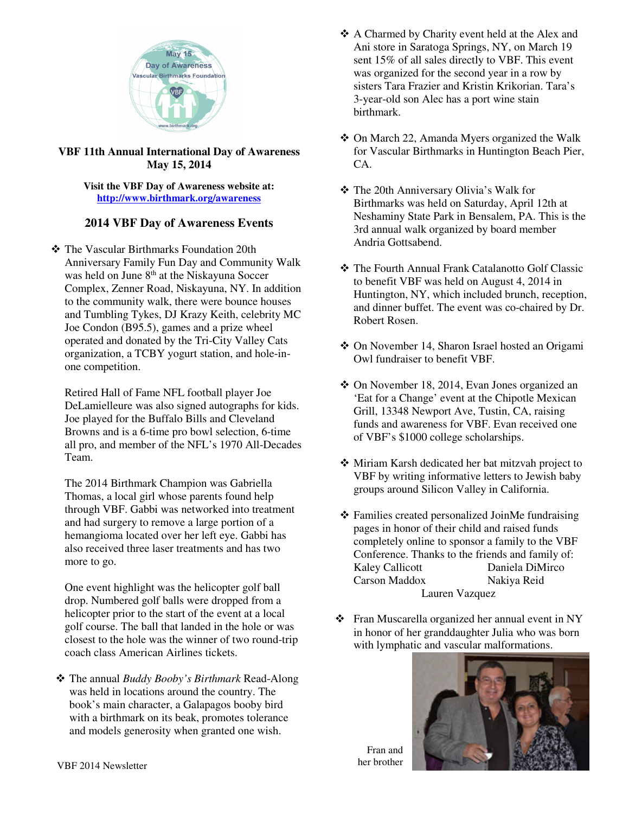

#### **VBF 11th Annual International Day of Awareness May 15, 2014**

#### **Visit the VBF Day of Awareness website at: http://www.birthmark.org/awareness**

## **2014 VBF Day of Awareness Events**

- The Vascular Birthmarks Foundation 20th Anniversary Family Fun Day and Community Walk was held on June 8<sup>th</sup> at the Niskayuna Soccer Complex, Zenner Road, Niskayuna, NY. In addition to the community walk, there were bounce houses and Tumbling Tykes, DJ Krazy Keith, celebrity MC Joe Condon (B95.5), games and a prize wheel operated and donated by the Tri-City Valley Cats organization, a TCBY yogurt station, and hole-inone competition.

Retired Hall of Fame NFL football player Joe DeLamielleure was also signed autographs for kids. Joe played for the Buffalo Bills and Cleveland Browns and is a 6-time pro bowl selection, 6-time all pro, and member of the NFL's 1970 All-Decades Team.

The 2014 Birthmark Champion was Gabriella Thomas, a local girl whose parents found help through VBF. Gabbi was networked into treatment and had surgery to remove a large portion of a hemangioma located over her left eye. Gabbi has also received three laser treatments and has two more to go.

One event highlight was the helicopter golf ball drop. Numbered golf balls were dropped from a helicopter prior to the start of the event at a local golf course. The ball that landed in the hole or was closest to the hole was the winner of two round-trip coach class American Airlines tickets.

- The annual *Buddy Booby's Birthmark* Read-Along was held in locations around the country. The book's main character, a Galapagos booby bird with a birthmark on its beak, promotes tolerance and models generosity when granted one wish.

- A Charmed by Charity event held at the Alex and Ani store in Saratoga Springs, NY, on March 19 sent 15% of all sales directly to VBF. This event was organized for the second year in a row by sisters Tara Frazier and Kristin Krikorian. Tara's 3-year-old son Alec has a port wine stain birthmark.
- On March 22, Amanda Myers organized the Walk for Vascular Birthmarks in Huntington Beach Pier, CA.
- The 20th Anniversary Olivia's Walk for Birthmarks was held on Saturday, April 12th at Neshaminy State Park in Bensalem, PA. This is the 3rd annual walk organized by board member Andria Gottsabend.
- The Fourth Annual Frank Catalanotto Golf Classic to benefit VBF was held on August 4, 2014 in Huntington, NY, which included brunch, reception, and dinner buffet. The event was co-chaired by Dr. Robert Rosen.
- On November 14, Sharon Israel hosted an Origami Owl fundraiser to benefit VBF.
- On November 18, 2014, Evan Jones organized an 'Eat for a Change' event at the Chipotle Mexican Grill, 13348 Newport Ave, Tustin, CA, raising funds and awareness for VBF. Evan received one of VBF's \$1000 college scholarships.
- Miriam Karsh dedicated her bat mitzvah project to VBF by writing informative letters to Jewish baby groups around Silicon Valley in California.
- Families created personalized JoinMe fundraising pages in honor of their child and raised funds completely online to sponsor a family to the VBF Conference. Thanks to the friends and family of: Kaley Callicott Daniela DiMirco Carson Maddox Nakiya Reid Lauren Vazquez
- Fran Muscarella organized her annual event in NY in honor of her granddaughter Julia who was born with lymphatic and vascular malformations.



Fran and her brother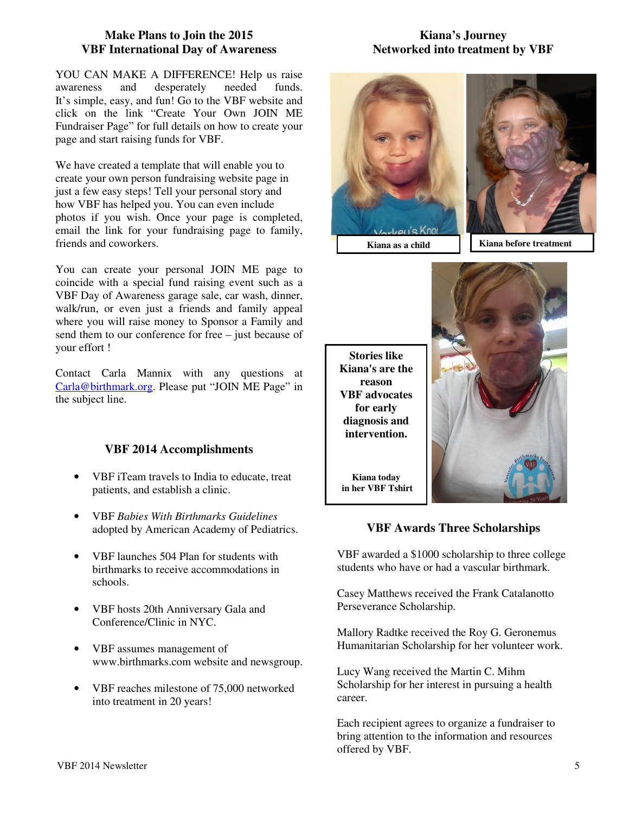#### **Make Plans to Join the 2015 VBF International Day of Awareness**

YOU CAN MAKE A DIFFERENCE! Help us raise awareness and desperately needed funds. It's simple, easy, and fun! Go to the VBF website and click on the link "Create Your Own JOIN ME Fundraiser Page" for full details on how to create your page and start raising funds for VBF.

We have created a template that will enable you to create your own person fundraising website page in just a few easy steps! Tell your personal story and how VBF has helped you. You can even include photos if you wish. Once your page is completed, email the link for your fundraising page to family, friends and coworkers.

You can create your personal JOIN ME page to coincide with a special fund raising event such as a VBF Day of Awareness garage sale, car wash, dinner, walk/run, or even just a friends and family appeal where you will raise money to Sponsor a Family and send them to our conference for free – just because of your effort !

Contact Carla Mannix with any questions at Carla@birthmark.org. Please put "JOIN ME Page" in the subject line.

## **VBF 2014 Accomplishments**

- VBF iTeam travels to India to educate, treat patients, and establish a clinic.
- VBF *Babies With Birthmarks Guidelines* adopted by American Academy of Pediatrics.
- VBF launches 504 Plan for students with birthmarks to receive accommodations in schools.
- VBF hosts 20th Anniversary Gala and Conference/Clinic in NYC.
- VBF assumes management of www.birthmarks.com website and newsgroup.
- VBF reaches milestone of 75,000 networked into treatment in 20 years!

### **Kiana's Journey Networked into treatment by VBF**



**Stories like Kiana's are the reason VBF advocates for early diagnosis and intervention.** 

**Kiana today in her VBF Tshirt** 



## **VBF Awards Three Scholarships**

VBF awarded a \$1000 scholarship to three college students who have or had a vascular birthmark.

Casey Matthews received the Frank Catalanotto Perseverance Scholarship.

Mallory Radtke received the Roy G. Geronemus Humanitarian Scholarship for her volunteer work.

Lucy Wang received the Martin C. Mihm Scholarship for her interest in pursuing a health career.

Each recipient agrees to organize a fundraiser to bring attention to the information and resources offered by VBF.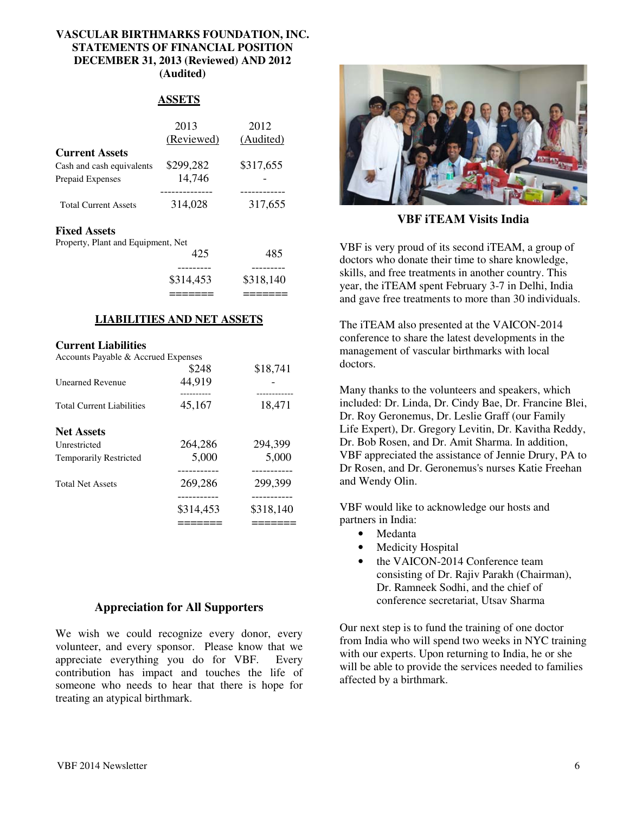#### **VASCULAR BIRTHMARKS FOUNDATION, INC. STATEMENTS OF FINANCIAL POSITION DECEMBER 31, 2013 (Reviewed) AND 2012 (Audited)**

#### **ASSETS**

|                             | 2013       | 2012      |
|-----------------------------|------------|-----------|
|                             | (Reviewed) | (Audited) |
| <b>Current Assets</b>       |            |           |
| Cash and cash equivalents   | \$299,282  | \$317,655 |
| Prepaid Expenses            | 14,746     |           |
|                             |            |           |
| <b>Total Current Assets</b> | 314,028    | 317,655   |
| <b>Fixed Assets</b>         |            |           |

Property, Plant and Equipment, Net

|     |     | \$314,453 | \$318,140 |
|-----|-----|-----------|-----------|
|     |     | --------  |           |
|     |     | 425       | 485       |
| . . | . . |           |           |

### **LIABILITIES AND NET ASSETS**

#### **Current Liabilities**

Accounts Payable & Accrued Expenses

|                                  | \$314,453 | \$318,140  |
|----------------------------------|-----------|------------|
| <b>Total Net Assets</b>          | 269,286   | 299,399    |
| <b>Temporarily Restricted</b>    | 5,000     | 5,000      |
| Unrestricted                     | 264,286   | 294,399    |
| <b>Net Assets</b>                |           |            |
| <b>Total Current Liabilities</b> | 45,167    | 18,471     |
|                                  | .         | ---------- |
| <b>Unearned Revenue</b>          | 44,919    |            |
|                                  | \$248     | \$18,741   |

### **Appreciation for All Supporters**

We wish we could recognize every donor, every volunteer, and every sponsor. Please know that we appreciate everything you do for VBF. Every contribution has impact and touches the life of someone who needs to hear that there is hope for treating an atypical birthmark.



**VBF iTEAM Visits India** 

VBF is very proud of its second iTEAM, a group of doctors who donate their time to share knowledge, skills, and free treatments in another country. This year, the iTEAM spent February 3-7 in Delhi, India and gave free treatments to more than 30 individuals.

The iTEAM also presented at the VAICON-2014 conference to share the latest developments in the management of vascular birthmarks with local doctors.

Many thanks to the volunteers and speakers, which included: Dr. Linda, Dr. Cindy Bae, Dr. Francine Blei, Dr. Roy Geronemus, Dr. Leslie Graff (our Family Life Expert), Dr. Gregory Levitin, Dr. Kavitha Reddy, Dr. Bob Rosen, and Dr. Amit Sharma. In addition, VBF appreciated the assistance of Jennie Drury, PA to Dr Rosen, and Dr. Geronemus's nurses Katie Freehan and Wendy Olin.

VBF would like to acknowledge our hosts and partners in India:

- Medanta
- Medicity Hospital
- the VAICON-2014 Conference team consisting of Dr. Rajiv Parakh (Chairman), Dr. Ramneek Sodhi, and the chief of conference secretariat, Utsav Sharma

Our next step is to fund the training of one doctor from India who will spend two weeks in NYC training with our experts. Upon returning to India, he or she will be able to provide the services needed to families affected by a birthmark.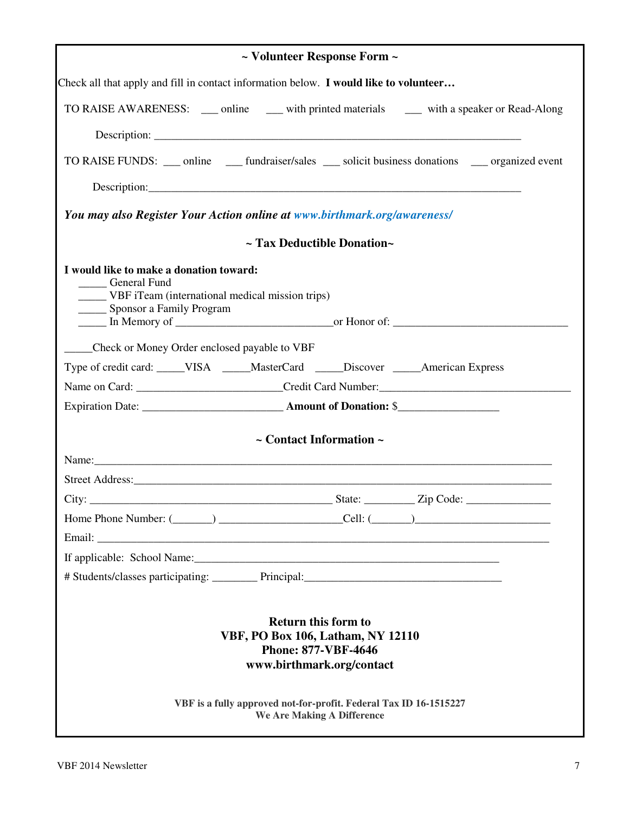| ~ Volunteer Response Form ~                                                                                                                                                                                                                     |  |  |  |
|-------------------------------------------------------------------------------------------------------------------------------------------------------------------------------------------------------------------------------------------------|--|--|--|
| Check all that apply and fill in contact information below. I would like to volunteer                                                                                                                                                           |  |  |  |
| TO RAISE AWARENESS: ____ online _____ with printed materials ______ with a speaker or Read-Along                                                                                                                                                |  |  |  |
|                                                                                                                                                                                                                                                 |  |  |  |
| TO RAISE FUNDS: __ online __ fundraiser/sales __ solicit business donations __ organized event                                                                                                                                                  |  |  |  |
|                                                                                                                                                                                                                                                 |  |  |  |
| You may also Register Your Action online at www.birthmark.org/awareness/                                                                                                                                                                        |  |  |  |
| ~ Tax Deductible Donation~                                                                                                                                                                                                                      |  |  |  |
|                                                                                                                                                                                                                                                 |  |  |  |
| I would like to make a donation toward:<br><b>Ceneral Fund</b><br>______ VBF iTeam (international medical mission trips)<br>____ Sponsor a Family Program<br><u>net</u> In Memory of <u>entity of the contract of the contract of Honor of:</u> |  |  |  |
| Check or Money Order enclosed payable to VBF                                                                                                                                                                                                    |  |  |  |
| Type of credit card: _____VISA _____MasterCard _____Discover _____American Express                                                                                                                                                              |  |  |  |
|                                                                                                                                                                                                                                                 |  |  |  |
|                                                                                                                                                                                                                                                 |  |  |  |
| $\sim$ Contact Information $\sim$                                                                                                                                                                                                               |  |  |  |
|                                                                                                                                                                                                                                                 |  |  |  |
|                                                                                                                                                                                                                                                 |  |  |  |
|                                                                                                                                                                                                                                                 |  |  |  |
|                                                                                                                                                                                                                                                 |  |  |  |
|                                                                                                                                                                                                                                                 |  |  |  |
|                                                                                                                                                                                                                                                 |  |  |  |
|                                                                                                                                                                                                                                                 |  |  |  |
| <b>Return this form to</b><br>VBF, PO Box 106, Latham, NY 12110<br><b>Phone: 877-VBF-4646</b><br>www.birthmark.org/contact<br>VBF is a fully approved not-for-profit. Federal Tax ID 16-1515227                                                 |  |  |  |
| We Are Making A Difference                                                                                                                                                                                                                      |  |  |  |